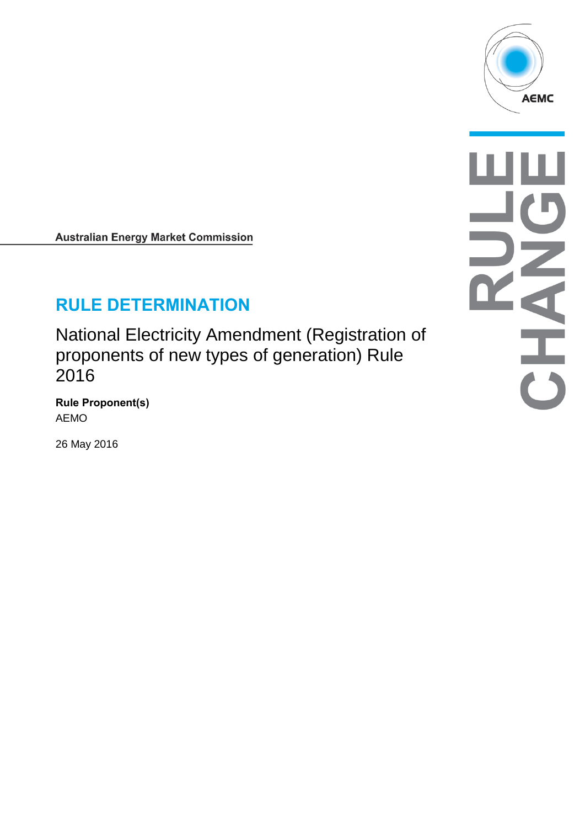

**Australian Energy Market Commission** 

# **RULE DETERMINATION**

National Electricity Amendment (Registration of proponents of new types of generation) Rule 2016

**Rule Proponent(s)** AEMO

26 May 2016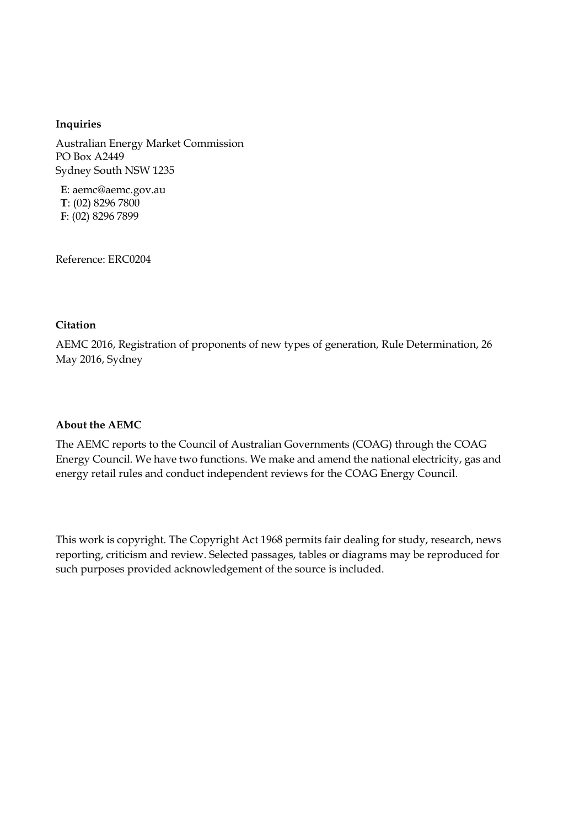#### **Inquiries**

Australian Energy Market Commission PO Box A2449 Sydney South NSW 1235

**E**: aemc@aemc.gov.au **T**: (02) 8296 7800 **F**: (02) 8296 7899

Reference: ERC0204

#### **Citation**

AEMC 2016, Registration of proponents of new types of generation, Rule Determination, 26 May 2016, Sydney

#### **About the AEMC**

The AEMC reports to the Council of Australian Governments (COAG) through the COAG Energy Council. We have two functions. We make and amend the national electricity, gas and energy retail rules and conduct independent reviews for the COAG Energy Council.

This work is copyright. The Copyright Act 1968 permits fair dealing for study, research, news reporting, criticism and review. Selected passages, tables or diagrams may be reproduced for such purposes provided acknowledgement of the source is included.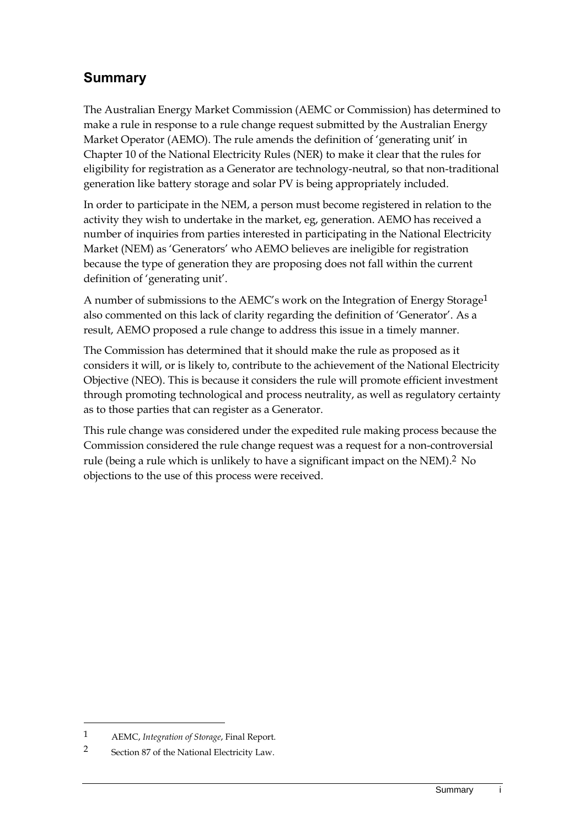## **Summary**

The Australian Energy Market Commission (AEMC or Commission) has determined to make a rule in response to a rule change request submitted by the Australian Energy Market Operator (AEMO). The rule amends the definition of 'generating unit' in Chapter 10 of the National Electricity Rules (NER) to make it clear that the rules for eligibility for registration as a Generator are technology-neutral, so that non-traditional generation like battery storage and solar PV is being appropriately included.

In order to participate in the NEM, a person must become registered in relation to the activity they wish to undertake in the market, eg, generation. AEMO has received a number of inquiries from parties interested in participating in the National Electricity Market (NEM) as 'Generators' who AEMO believes are ineligible for registration because the type of generation they are proposing does not fall within the current definition of 'generating unit'.

A number of submissions to the AEMC's work on the Integration of Energy Storage<sup>1</sup> also commented on this lack of clarity regarding the definition of 'Generator'. As a result, AEMO proposed a rule change to address this issue in a timely manner.

The Commission has determined that it should make the rule as proposed as it considers it will, or is likely to, contribute to the achievement of the National Electricity Objective (NEO). This is because it considers the rule will promote efficient investment through promoting technological and process neutrality, as well as regulatory certainty as to those parties that can register as a Generator.

This rule change was considered under the expedited rule making process because the Commission considered the rule change request was a request for a non-controversial rule (being a rule which is unlikely to have a significant impact on the NEM). 2 No objections to the use of this process were received.

-

<sup>1</sup> AEMC, *Integration of Storage*, Final Report.

<sup>2</sup> Section 87 of the National Electricity Law.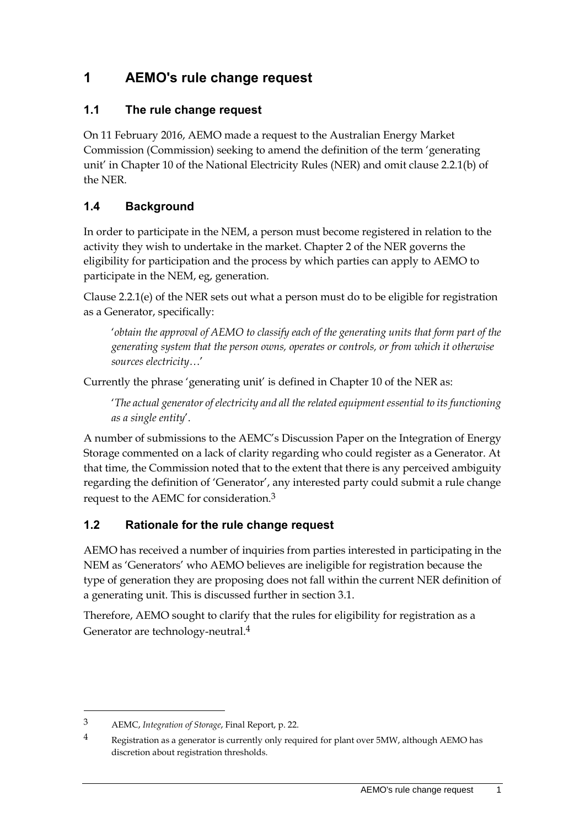## **1 AEMO's rule change request**

#### **1.1 The rule change request**

On 11 February 2016, AEMO made a request to the Australian Energy Market Commission (Commission) seeking to amend the definition of the term 'generating unit' in Chapter 10 of the National Electricity Rules (NER) and omit clause 2.2.1(b) of the NER.

#### **1.4 Background**

In order to participate in the NEM, a person must become registered in relation to the activity they wish to undertake in the market. Chapter 2 of the NER governs the eligibility for participation and the process by which parties can apply to AEMO to participate in the NEM, eg, generation.

Clause 2.2.1(e) of the NER sets out what a person must do to be eligible for registration as a Generator, specifically:

'*obtain the approval of AEMO to classify each of the generating units that form part of the generating system that the person owns, operates or controls, or from which it otherwise sources electricity…*'

Currently the phrase 'generating unit' is defined in Chapter 10 of the NER as:

'*The actual generator of electricity and all the related equipment essential to its functioning as a single entity*'.

A number of submissions to the AEMC's Discussion Paper on the Integration of Energy Storage commented on a lack of clarity regarding who could register as a Generator. At that time, the Commission noted that to the extent that there is any perceived ambiguity regarding the definition of 'Generator', any interested party could submit a rule change request to the AEMC for consideration.3

### **1.2 Rationale for the rule change request**

AEMO has received a number of inquiries from parties interested in participating in the NEM as 'Generators' who AEMO believes are ineligible for registration because the type of generation they are proposing does not fall within the current NER definition of a generating unit. This is discussed further in section 3.1.

Therefore, AEMO sought to clarify that the rules for eligibility for registration as a Generator are technology-neutral.4

<sup>3</sup> AEMC, *Integration of Storage*, Final Report, p. 22.

<sup>4</sup> Registration as a generator is currently only required for plant over 5MW, although AEMO has discretion about registration thresholds.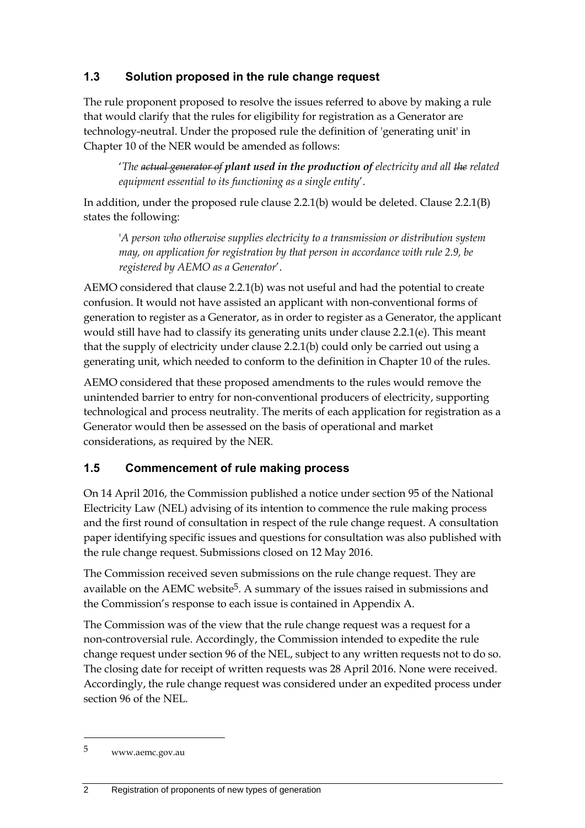### **1.3 Solution proposed in the rule change request**

The rule proponent proposed to resolve the issues referred to above by making a rule that would clarify that the rules for eligibility for registration as a Generator are technology-neutral. Under the proposed rule the definition of 'generating unit' in Chapter 10 of the NER would be amended as follows:

'*The actual generator of plant used in the production of electricity and all the related equipment essential to its functioning as a single entity*'.

In addition, under the proposed rule clause 2.2.1(b) would be deleted. Clause 2.2.1(B) states the following:

'*A person who otherwise supplies electricity to a transmission or distribution system may, on application for registration by that person in accordance with rule 2.9, be registered by AEMO as a Generator*'.

AEMO considered that clause 2.2.1(b) was not useful and had the potential to create confusion. It would not have assisted an applicant with non-conventional forms of generation to register as a Generator, as in order to register as a Generator, the applicant would still have had to classify its generating units under clause 2.2.1(e). This meant that the supply of electricity under clause 2.2.1(b) could only be carried out using a generating unit, which needed to conform to the definition in Chapter 10 of the rules.

AEMO considered that these proposed amendments to the rules would remove the unintended barrier to entry for non-conventional producers of electricity, supporting technological and process neutrality. The merits of each application for registration as a Generator would then be assessed on the basis of operational and market considerations, as required by the NER.

#### **1.5 Commencement of rule making process**

On 14 April 2016, the Commission published a notice under section 95 of the National Electricity Law (NEL) advising of its intention to commence the rule making process and the first round of consultation in respect of the rule change request. A consultation paper identifying specific issues and questions for consultation was also published with the rule change request. Submissions closed on 12 May 2016.

The Commission received seven submissions on the rule change request. They are available on the AEMC website<sup>5</sup>. A summary of the issues raised in submissions and the Commission's response to each issue is contained in Appendix [A.](#page-12-0)

The Commission was of the view that the rule change request was a request for a non-controversial rule. Accordingly, the Commission intended to expedite the rule change request under section 96 of the NEL, subject to any written requests not to do so. The closing date for receipt of written requests was 28 April 2016. None were received. Accordingly, the rule change request was considered under an expedited process under section 96 of the NEL.

1

<sup>5</sup> www.aemc.gov.au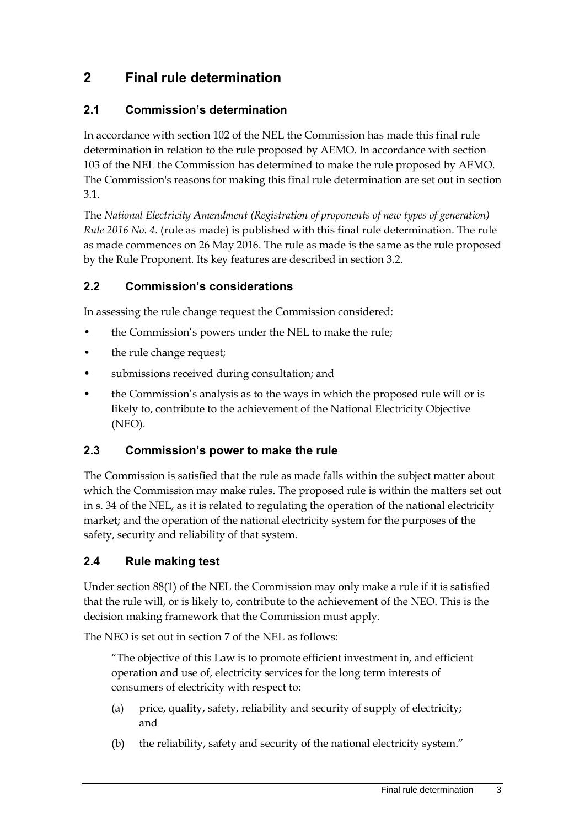## **2 Final rule determination**

#### **2.1 Commission's determination**

In accordance with section 102 of the NEL the Commission has made this final rule determination in relation to the rule proposed by AEMO. In accordance with section 103 of the NEL the Commission has determined to make the rule proposed by AEMO. The Commission's reasons for making this final rule determination are set out in section [3.1.](#page-8-0)

The *National Electricity Amendment (Registration of proponents of new types of generation) Rule 2016 No. 4.* (rule as made) is published with this final rule determination. The rule as made commences on 26 May 2016. The rule as made is the same as the rule proposed by the Rule Proponent. Its key features are described in section [3.2.](#page-8-1)

#### **2.2 Commission's considerations**

In assessing the rule change request the Commission considered:

- the Commission's powers under the NEL to make the rule;
- the rule change request;
- submissions received during consultation; and
- the Commission's analysis as to the ways in which the proposed rule will or is likely to, contribute to the achievement of the National Electricity Objective (NEO).

#### **2.3 Commission's power to make the rule**

The Commission is satisfied that the rule as made falls within the subject matter about which the Commission may make rules. The proposed rule is within the matters set out in s. 34 of the NEL, as it is related to regulating the operation of the national electricity market; and the operation of the national electricity system for the purposes of the safety, security and reliability of that system.

### **2.4 Rule making test**

Under section 88(1) of the NEL the Commission may only make a rule if it is satisfied that the rule will, or is likely to, contribute to the achievement of the NEO. This is the decision making framework that the Commission must apply.

The NEO is set out in section 7 of the NEL as follows:

"The objective of this Law is to promote efficient investment in, and efficient operation and use of, electricity services for the long term interests of consumers of electricity with respect to:

- (a) price, quality, safety, reliability and security of supply of electricity; and
- (b) the reliability, safety and security of the national electricity system."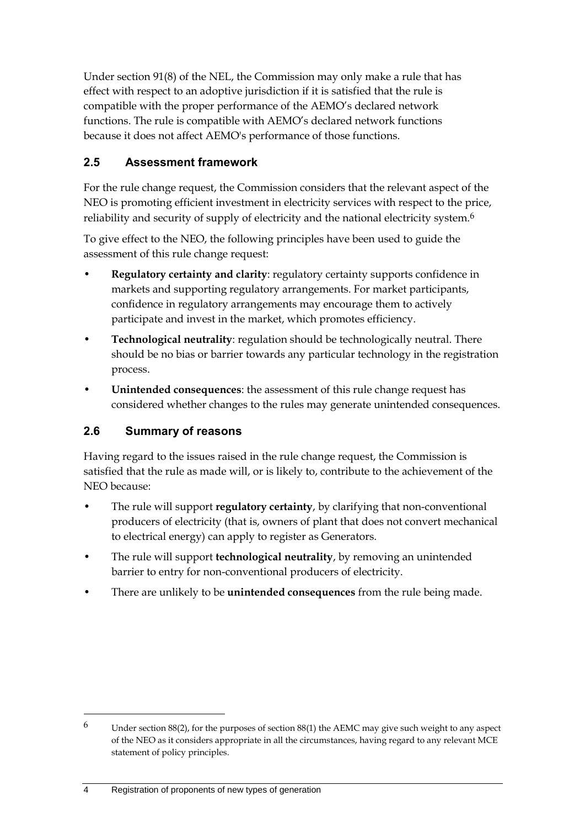Under section 91(8) of the NEL, the Commission may only make a rule that has effect with respect to an adoptive jurisdiction if it is satisfied that the rule is compatible with the proper performance of the AEMO's declared network functions. The rule is compatible with AEMO's declared network functions because it does not affect AEMO's performance of those functions.

### **2.5 Assessment framework**

For the rule change request, the Commission considers that the relevant aspect of the NEO is promoting efficient investment in electricity services with respect to the price, reliability and security of supply of electricity and the national electricity system.<sup>6</sup>

To give effect to the NEO, the following principles have been used to guide the assessment of this rule change request:

- **Regulatory certainty and clarity**: regulatory certainty supports confidence in markets and supporting regulatory arrangements. For market participants, confidence in regulatory arrangements may encourage them to actively participate and invest in the market, which promotes efficiency.
- **Technological neutrality**: regulation should be technologically neutral. There should be no bias or barrier towards any particular technology in the registration process.
- **Unintended consequences**: the assessment of this rule change request has considered whether changes to the rules may generate unintended consequences.

#### **2.6 Summary of reasons**

Having regard to the issues raised in the rule change request, the Commission is satisfied that the rule as made will, or is likely to, contribute to the achievement of the NEO because:

- The rule will support **regulatory certainty**, by clarifying that non-conventional producers of electricity (that is, owners of plant that does not convert mechanical to electrical energy) can apply to register as Generators.
- The rule will support **technological neutrality**, by removing an unintended barrier to entry for non-conventional producers of electricity.
- There are unlikely to be **unintended consequences** from the rule being made.

 $6$  Under section 88(2), for the purposes of section 88(1) the AEMC may give such weight to any aspect of the NEO as it considers appropriate in all the circumstances, having regard to any relevant MCE statement of policy principles.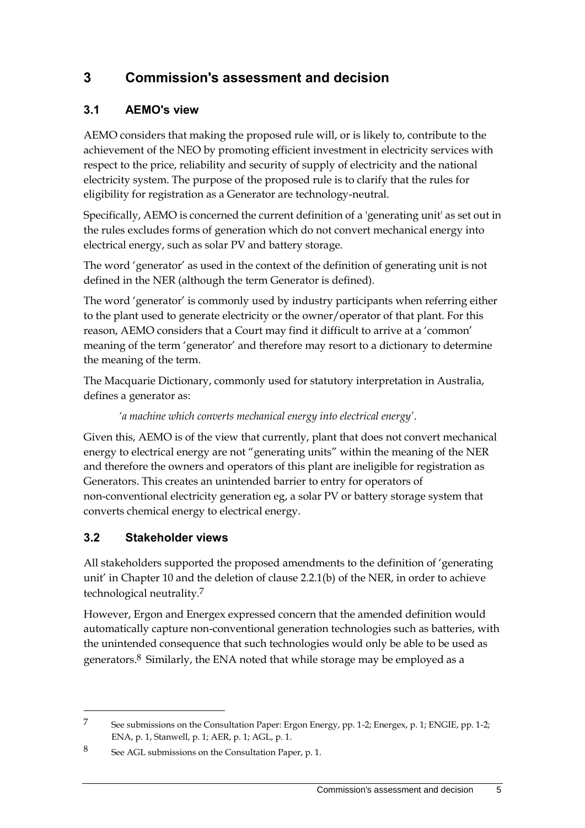## **3 Commission's assessment and decision**

### <span id="page-8-0"></span>**3.1 AEMO's view**

AEMO considers that making the proposed rule will, or is likely to, contribute to the achievement of the NEO by promoting efficient investment in electricity services with respect to the price, reliability and security of supply of electricity and the national electricity system. The purpose of the proposed rule is to clarify that the rules for eligibility for registration as a Generator are technology-neutral.

Specifically, AEMO is concerned the current definition of a 'generating unit' as set out in the rules excludes forms of generation which do not convert mechanical energy into electrical energy, such as solar PV and battery storage.

The word 'generator' as used in the context of the definition of generating unit is not defined in the NER (although the term Generator is defined).

The word 'generator' is commonly used by industry participants when referring either to the plant used to generate electricity or the owner/operator of that plant. For this reason, AEMO considers that a Court may find it difficult to arrive at a 'common' meaning of the term 'generator' and therefore may resort to a dictionary to determine the meaning of the term.

The Macquarie Dictionary, commonly used for statutory interpretation in Australia, defines a generator as:

#### *'a machine which converts mechanical energy into electrical energy'*.

Given this, AEMO is of the view that currently, plant that does not convert mechanical energy to electrical energy are not "generating units" within the meaning of the NER and therefore the owners and operators of this plant are ineligible for registration as Generators. This creates an unintended barrier to entry for operators of non-conventional electricity generation eg, a solar PV or battery storage system that converts chemical energy to electrical energy.

### <span id="page-8-1"></span>**3.2 Stakeholder views**

<u>.</u>

All stakeholders supported the proposed amendments to the definition of 'generating unit' in Chapter 10 and the deletion of clause 2.2.1(b) of the NER, in order to achieve technological neutrality.7

However, Ergon and Energex expressed concern that the amended definition would automatically capture non-conventional generation technologies such as batteries, with the unintended consequence that such technologies would only be able to be used as generators.8 Similarly, the ENA noted that while storage may be employed as a

<sup>7</sup> See submissions on the Consultation Paper: Ergon Energy, pp. 1-2; Energex, p. 1; ENGIE, pp. 1-2; ENA, p. 1, Stanwell, p. 1; AER, p. 1; AGL, p. 1.

<sup>8</sup> See AGL submissions on the Consultation Paper, p. 1.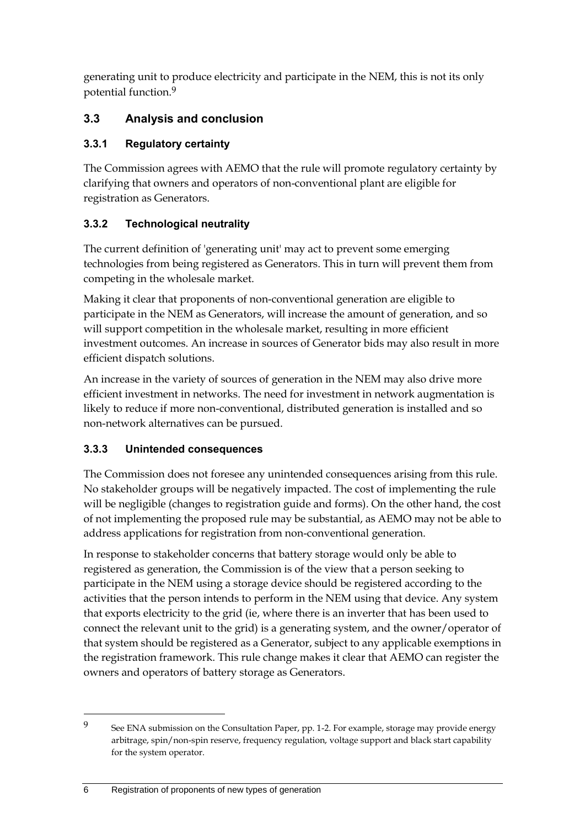generating unit to produce electricity and participate in the NEM, this is not its only potential function.9

#### **3.3 Analysis and conclusion**

#### **3.3.1 Regulatory certainty**

The Commission agrees with AEMO that the rule will promote regulatory certainty by clarifying that owners and operators of non-conventional plant are eligible for registration as Generators.

### **3.3.2 Technological neutrality**

The current definition of 'generating unit' may act to prevent some emerging technologies from being registered as Generators. This in turn will prevent them from competing in the wholesale market.

Making it clear that proponents of non-conventional generation are eligible to participate in the NEM as Generators, will increase the amount of generation, and so will support competition in the wholesale market, resulting in more efficient investment outcomes. An increase in sources of Generator bids may also result in more efficient dispatch solutions.

An increase in the variety of sources of generation in the NEM may also drive more efficient investment in networks. The need for investment in network augmentation is likely to reduce if more non-conventional, distributed generation is installed and so non-network alternatives can be pursued.

### **3.3.3 Unintended consequences**

The Commission does not foresee any unintended consequences arising from this rule. No stakeholder groups will be negatively impacted. The cost of implementing the rule will be negligible (changes to registration guide and forms). On the other hand, the cost of not implementing the proposed rule may be substantial, as AEMO may not be able to address applications for registration from non-conventional generation.

In response to stakeholder concerns that battery storage would only be able to registered as generation, the Commission is of the view that a person seeking to participate in the NEM using a storage device should be registered according to the activities that the person intends to perform in the NEM using that device. Any system that exports electricity to the grid (ie, where there is an inverter that has been used to connect the relevant unit to the grid) is a generating system, and the owner/operator of that system should be registered as a Generator, subject to any applicable exemptions in the registration framework. This rule change makes it clear that AEMO can register the owners and operators of battery storage as Generators.

<sup>9</sup> See ENA submission on the Consultation Paper, pp. 1-2. For example, storage may provide energy arbitrage, spin/non-spin reserve, frequency regulation, voltage support and black start capability for the system operator.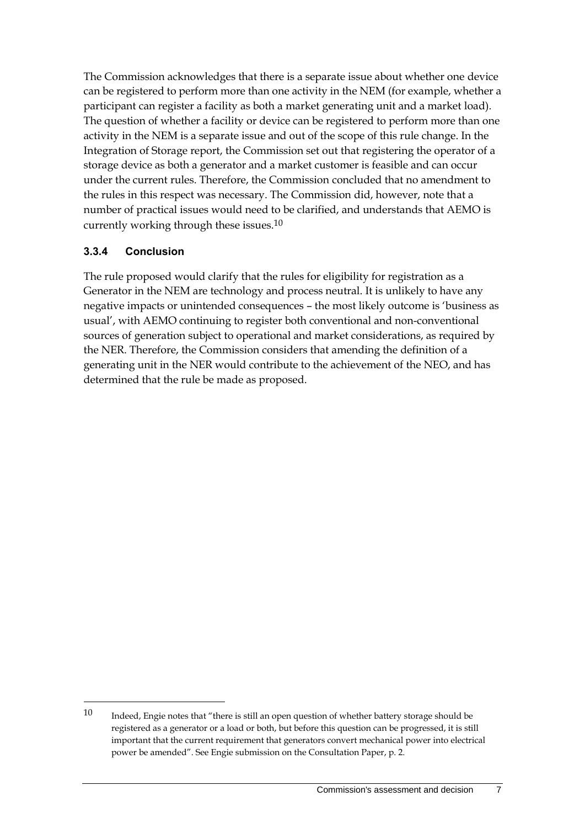The Commission acknowledges that there is a separate issue about whether one device can be registered to perform more than one activity in the NEM (for example, whether a participant can register a facility as both a market generating unit and a market load). The question of whether a facility or device can be registered to perform more than one activity in the NEM is a separate issue and out of the scope of this rule change. In the Integration of Storage report, the Commission set out that registering the operator of a storage device as both a generator and a market customer is feasible and can occur under the current rules. Therefore, the Commission concluded that no amendment to the rules in this respect was necessary. The Commission did, however, note that a number of practical issues would need to be clarified, and understands that AEMO is currently working through these issues.10

#### **3.3.4 Conclusion**

<u>.</u>

The rule proposed would clarify that the rules for eligibility for registration as a Generator in the NEM are technology and process neutral. It is unlikely to have any negative impacts or unintended consequences – the most likely outcome is 'business as usual', with AEMO continuing to register both conventional and non-conventional sources of generation subject to operational and market considerations, as required by the NER. Therefore, the Commission considers that amending the definition of a generating unit in the NER would contribute to the achievement of the NEO, and has determined that the rule be made as proposed.

<sup>10</sup> Indeed, Engie notes that "there is still an open question of whether battery storage should be registered as a generator or a load or both, but before this question can be progressed, it is still important that the current requirement that generators convert mechanical power into electrical power be amended". See Engie submission on the Consultation Paper, p. 2.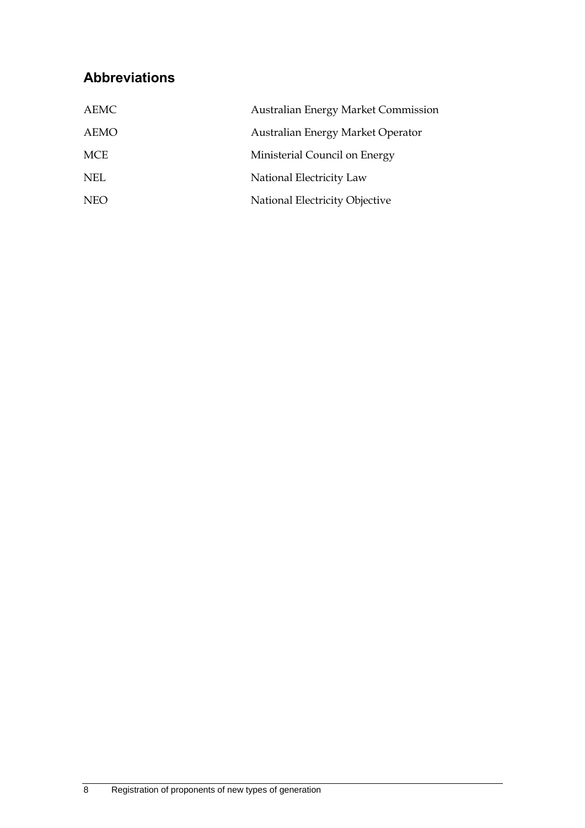## **Abbreviations**

| AEMC       | <b>Australian Energy Market Commission</b> |
|------------|--------------------------------------------|
| AEMO       | Australian Energy Market Operator          |
| MCE        | Ministerial Council on Energy              |
| NEL.       | National Electricity Law                   |
| <b>NEO</b> | National Electricity Objective             |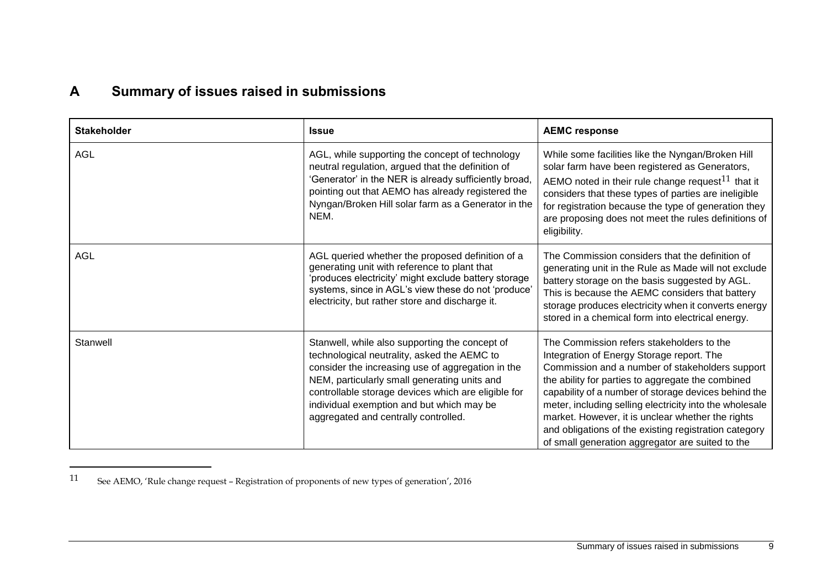## **A Summary of issues raised in submissions**

| <b>Stakeholder</b> | <b>Issue</b>                                                                                                                                                                                                                                                                                                                                   | <b>AEMC response</b>                                                                                                                                                                                                                                                                                                                                                                                                                                                                |
|--------------------|------------------------------------------------------------------------------------------------------------------------------------------------------------------------------------------------------------------------------------------------------------------------------------------------------------------------------------------------|-------------------------------------------------------------------------------------------------------------------------------------------------------------------------------------------------------------------------------------------------------------------------------------------------------------------------------------------------------------------------------------------------------------------------------------------------------------------------------------|
| AGL                | AGL, while supporting the concept of technology<br>neutral regulation, argued that the definition of<br>'Generator' in the NER is already sufficiently broad.<br>pointing out that AEMO has already registered the<br>Nyngan/Broken Hill solar farm as a Generator in the<br>NEM.                                                              | While some facilities like the Nyngan/Broken Hill<br>solar farm have been registered as Generators,<br>AEMO noted in their rule change request <sup>11</sup> that it<br>considers that these types of parties are ineligible<br>for registration because the type of generation they<br>are proposing does not meet the rules definitions of<br>eligibility.                                                                                                                        |
| AGL                | AGL queried whether the proposed definition of a<br>generating unit with reference to plant that<br>'produces electricity' might exclude battery storage<br>systems, since in AGL's view these do not 'produce'<br>electricity, but rather store and discharge it.                                                                             | The Commission considers that the definition of<br>generating unit in the Rule as Made will not exclude<br>battery storage on the basis suggested by AGL.<br>This is because the AEMC considers that battery<br>storage produces electricity when it converts energy<br>stored in a chemical form into electrical energy.                                                                                                                                                           |
| Stanwell           | Stanwell, while also supporting the concept of<br>technological neutrality, asked the AEMC to<br>consider the increasing use of aggregation in the<br>NEM, particularly small generating units and<br>controllable storage devices which are eligible for<br>individual exemption and but which may be<br>aggregated and centrally controlled. | The Commission refers stakeholders to the<br>Integration of Energy Storage report. The<br>Commission and a number of stakeholders support<br>the ability for parties to aggregate the combined<br>capability of a number of storage devices behind the<br>meter, including selling electricity into the wholesale<br>market. However, it is unclear whether the rights<br>and obligations of the existing registration category<br>of small generation aggregator are suited to the |

<span id="page-12-0"></span><sup>11</sup> See AEMO, 'Rule change request – Registration of proponents of new types of generation', 2016